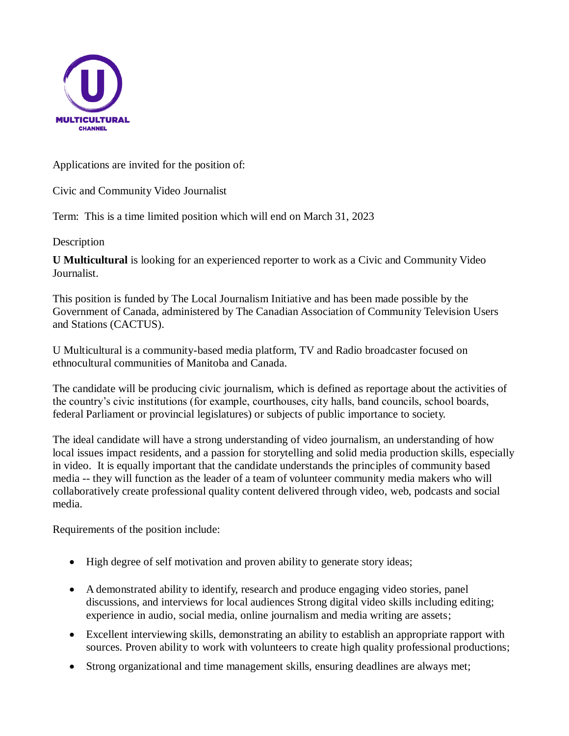

Applications are invited for the position of:

Civic and Community Video Journalist

Term: This is a time limited position which will end on March 31, 2023

Description

**U Multicultural** is looking for an experienced reporter to work as a Civic and Community Video Journalist.

This position is funded by The Local Journalism Initiative and has been made possible by the Government of Canada, administered by The Canadian Association of Community Television Users and Stations (CACTUS).

U Multicultural is a community-based media platform, TV and Radio broadcaster focused on ethnocultural communities of Manitoba and Canada.

The candidate will be producing civic journalism, which is defined as reportage about the activities of the country's civic institutions (for example, courthouses, city halls, band councils, school boards, federal Parliament or provincial legislatures) or subjects of public importance to society.

The ideal candidate will have a strong understanding of video journalism, an understanding of how local issues impact residents, and a passion for storytelling and solid media production skills, especially in video. It is equally important that the candidate understands the principles of community based media -- they will function as the leader of a team of volunteer community media makers who will collaboratively create professional quality content delivered through video, web, podcasts and social media.

Requirements of the position include:

- High degree of self motivation and proven ability to generate story ideas;
- A demonstrated ability to identify, research and produce engaging video stories, panel discussions, and interviews for local audiences Strong digital video skills including editing; experience in audio, social media, online journalism and media writing are assets;
- Excellent interviewing skills, demonstrating an ability to establish an appropriate rapport with sources. Proven ability to work with volunteers to create high quality professional productions;
- Strong organizational and time management skills, ensuring deadlines are always met;